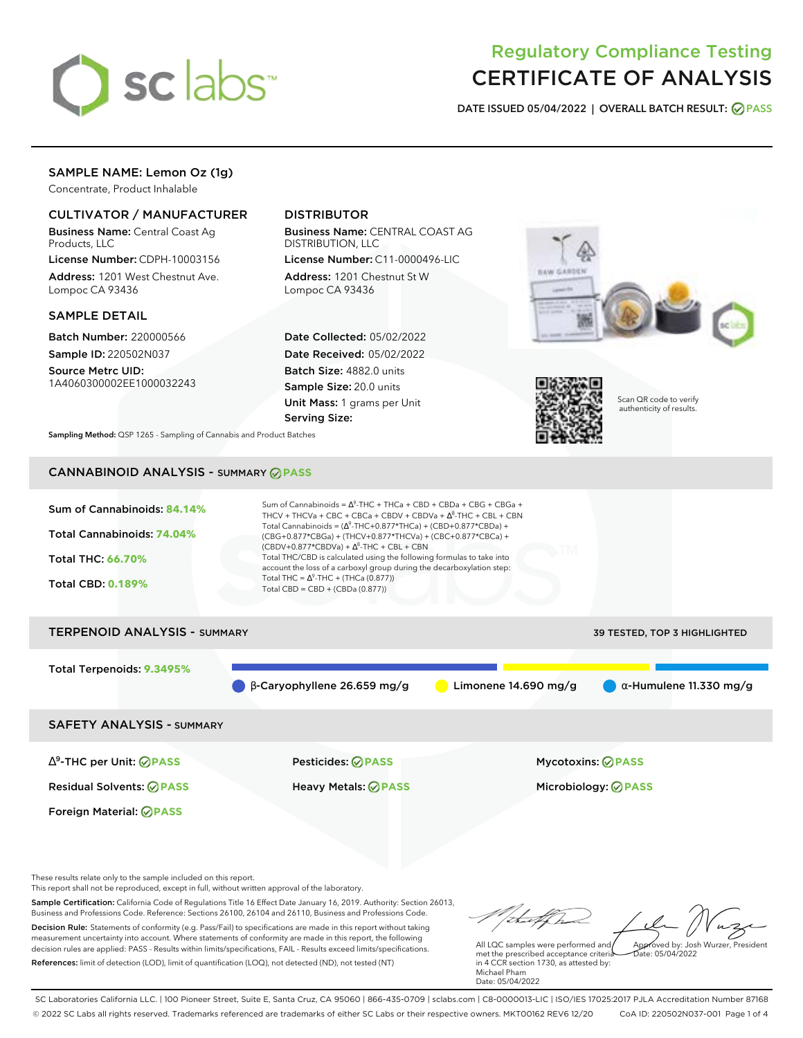

# Regulatory Compliance Testing CERTIFICATE OF ANALYSIS

**DATE ISSUED 05/04/2022 | OVERALL BATCH RESULT: PASS**

# SAMPLE NAME: Lemon Oz (1g)

Concentrate, Product Inhalable

## CULTIVATOR / MANUFACTURER

Business Name: Central Coast Ag Products, LLC

License Number: CDPH-10003156 Address: 1201 West Chestnut Ave. Lompoc CA 93436

### SAMPLE DETAIL

Batch Number: 220000566 Sample ID: 220502N037

Source Metrc UID: 1A4060300002EE1000032243

# DISTRIBUTOR

Business Name: CENTRAL COAST AG DISTRIBUTION, LLC

License Number: C11-0000496-LIC Address: 1201 Chestnut St W Lompoc CA 93436

Date Collected: 05/02/2022 Date Received: 05/02/2022 Batch Size: 4882.0 units Sample Size: 20.0 units Unit Mass: 1 grams per Unit Serving Size:





Scan QR code to verify authenticity of results.

**Sampling Method:** QSP 1265 - Sampling of Cannabis and Product Batches

# CANNABINOID ANALYSIS - SUMMARY **PASS**



SAFETY ANALYSIS - SUMMARY

∆ 9 -THC per Unit: **PASS** Pesticides: **PASS** Mycotoxins: **PASS**

Foreign Material: **PASS**

Residual Solvents: **PASS** Heavy Metals: **PASS** Microbiology: **PASS**

These results relate only to the sample included on this report.

This report shall not be reproduced, except in full, without written approval of the laboratory.

Sample Certification: California Code of Regulations Title 16 Effect Date January 16, 2019. Authority: Section 26013, Business and Professions Code. Reference: Sections 26100, 26104 and 26110, Business and Professions Code. Decision Rule: Statements of conformity (e.g. Pass/Fail) to specifications are made in this report without taking measurement uncertainty into account. Where statements of conformity are made in this report, the following decision rules are applied: PASS - Results within limits/specifications, FAIL - Results exceed limits/specifications.

References: limit of detection (LOD), limit of quantification (LOQ), not detected (ND), not tested (NT)

Approved by: Josh Wurzer, President

 $ate: 05/04/2022$ 

All LQC samples were performed and met the prescribed acceptance criteria in 4 CCR section 1730, as attested by: Michael Pham Date: 05/04/2022

SC Laboratories California LLC. | 100 Pioneer Street, Suite E, Santa Cruz, CA 95060 | 866-435-0709 | sclabs.com | C8-0000013-LIC | ISO/IES 17025:2017 PJLA Accreditation Number 87168 © 2022 SC Labs all rights reserved. Trademarks referenced are trademarks of either SC Labs or their respective owners. MKT00162 REV6 12/20 CoA ID: 220502N037-001 Page 1 of 4